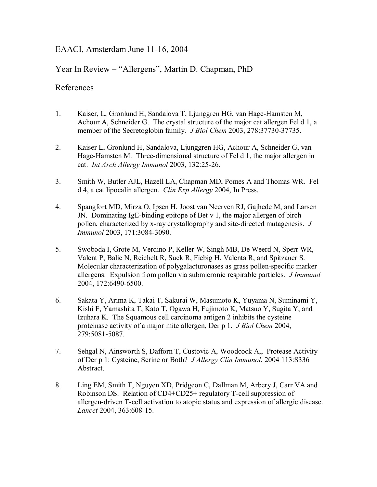## EAACI, Amsterdam June 11-16, 2004

# Year In Review – "Allergens", Martin D. Chapman, PhD

## References

- 1. Kaiser, L, Gronlund H, Sandalova T, Ljunggren HG, van Hage-Hamsten M, Achour A, Schneider G. The crystal structure of the major cat allergen Fel d 1, a member of the Secretoglobin family. *J Biol Chem* 2003, 278:37730-37735.
- 2. Kaiser L, Gronlund H, Sandalova, Ljunggren HG, Achour A, Schneider G, van Hage-Hamsten M. Three-dimensional structure of Fel d 1, the major allergen in cat. *Int Arch Allergy Immunol* 2003, 132:25-26.
- 3. Smith W, Butler AJL, Hazell LA, Chapman MD, Pomes A and Thomas WR. Fel d 4, a cat lipocalin allergen. *Clin Exp Allergy* 2004, In Press.
- 4. Spangfort MD, Mirza O, Ipsen H, Joost van Neerven RJ, Gajhede M, and Larsen JN. Dominating IgE-binding epitope of Bet v 1, the major allergen of birch pollen, characterized by x-ray crystallography and site-directed mutagenesis. *J Immunol* 2003, 171:3084-3090.
- 5. Swoboda I, Grote M, Verdino P, Keller W, Singh MB, De Weerd N, Sperr WR, Valent P, Balic N, Reichelt R, Suck R, Fiebig H, Valenta R, and Spitzauer S. Molecular characterization of polygalacturonases as grass pollen-specific marker allergens: Expulsion from pollen via submicronic respirable particles. *J Immunol* 2004, 172:6490-6500.
- 6. Sakata Y, Arima K, Takai T, Sakurai W, Masumoto K, Yuyama N, Suminami Y, Kishi F, Yamashita T, Kato T, Ogawa H, Fujimoto K, Matsuo Y, Sugita Y, and Izuhara K. The Squamous cell carcinoma antigen 2 inhibits the cysteine proteinase activity of a major mite allergen, Der p 1. *J Biol Chem* 2004, 279:5081-5087.
- 7. Sehgal N, Ainsworth S, Dafforn T, Custovic A, Woodcock A,, Protease Activity of Der p 1: Cysteine, Serine or Both? *J Allergy Clin Immunol*, 2004 113:S336 Abstract.
- 8. Ling EM, Smith T, Nguyen XD, Pridgeon C, Dallman M, Arbery J, Carr VA and Robinson DS. Relation of CD4+CD25+ regulatory T-cell suppression of allergen-driven T-cell activation to atopic status and expression of allergic disease. *Lancet* 2004, 363:608-15.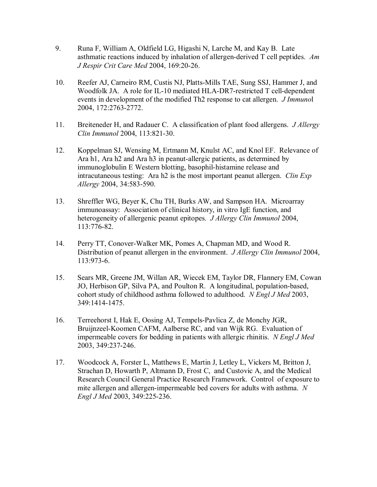- 9. Runa F, William A, Oldfield LG, Higashi N, Larche M, and Kay B. Late asthmatic reactions induced by inhalation of allergen-derived T cell peptides. *Am J Respir Crit Care Med* 2004, 169:20-26.
- 10. Reefer AJ, Carneiro RM, Custis NJ, Platts-Mills TAE, Sung SSJ, Hammer J, and Woodfolk JA. A role for IL-10 mediated HLA-DR7-restricted T cell-dependent events in development of the modified Th2 response to cat allergen. *J Immuno*l 2004, 172:2763-2772.
- 11. Breiteneder H, and Radauer C. A classification of plant food allergens. *J Allergy Clin Immunol* 2004, 113:821-30.
- 12. Koppelman SJ, Wensing M, Ertmann M, Knulst AC, and Knol EF. Relevance of Ara h1, Ara h2 and Ara h3 in peanut-allergic patients, as determined by immunoglobulin E Western blotting, basophil-histamine release and intracutaneous testing: Ara h2 is the most important peanut allergen. *Clin Exp Allergy* 2004, 34:583-590.
- 13. Shreffler WG, Beyer K, Chu TH, Burks AW, and Sampson HA. Microarray immunoassay: Association of clinical history, in vitro IgE function, and heterogeneity of allergenic peanut epitopes. *J Allergy Clin Immunol* 2004, 113:776-82.
- 14. Perry TT, Conover-Walker MK, Pomes A, Chapman MD, and Wood R. Distribution of peanut allergen in the environment. *J Allergy Clin Immunol* 2004, 113:973-6.
- 15. Sears MR, Greene JM, Willan AR, Wiecek EM, Taylor DR, Flannery EM, Cowan JO, Herbison GP, Silva PA, and Poulton R. A longitudinal, population-based, cohort study of childhood asthma followed to adulthood. *N Engl J Med* 2003, 349:1414-1475.
- 16. Terreehorst I, Hak E, Oosing AJ, Tempels-Pavlica Z, de Monchy JGR, Bruijnzeel-Koomen CAFM, Aalberse RC, and van Wijk RG. Evaluation of impermeable covers for bedding in patients with allergic rhinitis. *N Engl J Med* 2003, 349:237-246.
- 17. Woodcock A, Forster L, Matthews E, Martin J, Letley L, Vickers M, Britton J, Strachan D, Howarth P, Altmann D, Frost C, and Custovic A, and the Medical Research Council General Practice Research Framework. Control of exposure to mite allergen and allergen-impermeable bed covers for adults with asthma. *N Engl J Med* 2003, 349:225-236.